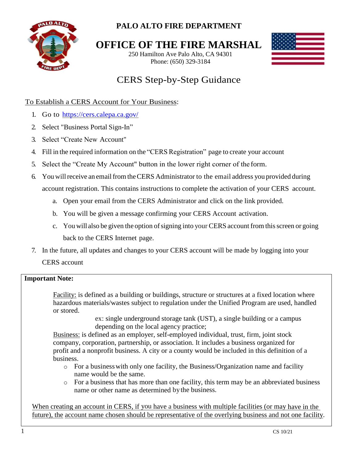

# **PALO ALTO FIRE DEPARTMENT**

**OFFICE OF THE FIRE MARSHAL**

250 Hamilton Ave Palo Alto, CA 94301 Phone: (650) 329-3184



# CERS Step-by-Step Guidance

# To Establish a CERS Account for Your Business:

- 1. Go to <https://cers.calepa.ca.gov/>
- 2. Select "Business Portal Sign-In"
- 3. Select "Create New Account"
- 4. Fill in the required information on the "CERS Registration" page to create your account
- 5. Select the "Create My Account" button in the lower right corner of the form.
- 6. You will receive an email from the CERS Administrator to the email address you provided during account registration. This contains instructions to complete the activation of your CERS account.
	- a. Open your email from the CERS Administrator and click on the link provided.
	- b. You will be given a message confirming your CERS Account activation.
	- c. You will also be given the option of signing into your CERS account from this screen or going back to the CERS Internet page.
- 7. In the future, all updates and changes to your CERS account will be made by logging into your CERS account

# **Important Note:**

Facility: is defined as a building or buildings, structure or structures at a fixed location where hazardous materials/wastes subject to regulation under the Unified Program are used, handled or stored.

> ex: single underground storage tank (UST), a single building or a campus depending on the local agency practice;

Business: is defined as an employer, self-employed individual, trust, firm, joint stock company, corporation, partnership, or association. It includes a business organized for profit and a nonprofit business. A city or a county would be included in this definition of a business.

- o For a businesswith only one facility, the Business/Organization name and facility name would be the same.
- o For a business that has more than one facility, this term may be an abbreviated business name or other name as determined bythe business.

When creating an account in CERS, if you have a business with multiple facilities (or may have in the future), the account name chosen should be representative of the overlying business and not one facility.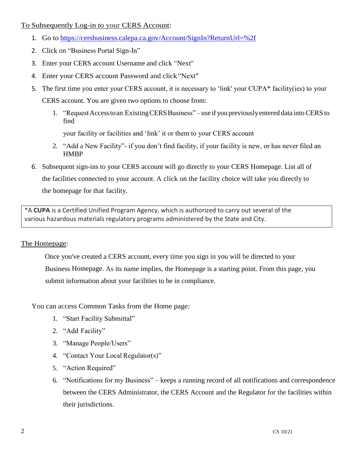To Subsequently Log-in to your CERS Account:

- 1. Go to <https://cersbusiness.calepa.ca.gov/Account/SignIn?ReturnUrl=%2f>
- 2. Click on "Business Portal Sign-In"
- 3. Enter your CERS account Username and click "Next"
- 4. Enter your CERS account Password and click"Next"
- 5. The first time you enter your CERS account, it is necessary to 'link' your CUPA\* facility(ies) to your CERS account. You are given two options to choose from:
	- 1. "Request Access to an Existing CERS Business" use if you previously entered data into CERS to find

your facility or facilities and 'link' it or them to your CERS account

- 2. "Add a New Facility"- if you don't find facility, if your facility is new, or has never filed an HMBP
- 6. Subsequent sign-ins to your CERS account will go directly to your CERS Homepage. List all of the facilities connected to your account. A click on the facility choice will take you directly to the homepage for that facility.

\*A **CUPA** is a Certified Unified Program Agency, which is authorized to carry out several of the various hazardous materials regulatory programs administered by the State and City.

#### The Homepage:

Once you've created a CERS account, every time you sign in you will be directed to your Business Homepage. As its name implies, the Homepage is a starting point. From this page, you submit information about your facilities to be in compliance.

You can access Common Tasks from the Home page:

- 1. "Start Facility Submittal"
- 2. "Add Facility"
- 3. "Manage People/Users"
- 4. "Contact Your Local Regulator(s)"
- 5. "Action Required"
- 6. "Notifications for my Business" keeps a running record of all notifications and correspondence between the CERS Administrator, the CERS Account and the Regulator for the facilities within their jurisdictions.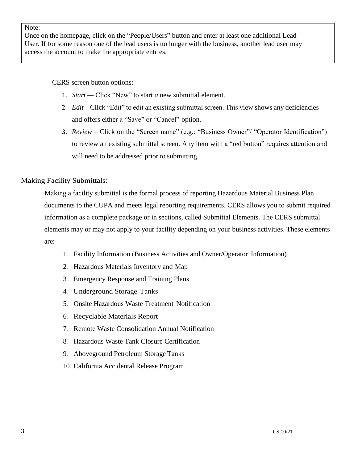#### Note:

Once on the homepage, click on the "People/Users" button and enter at least one additional Lead User. If for some reason one of the lead users is no longer with the business, another lead user may access the account to make the appropriate entries.

CERS screen button options:

- 1. *Start —* Click "New" to start *a* new submittal element.
- 2. *Edit* Click "Edit" to edit an existing submittal screen. This view shows any deficiencies and offers either a "Save" or "Cancel" option.
- 3. *Review*  Click on the "Screen name" (e.g.: "Business Owner"/ "Operator Identification") to review an existing submittal screen. Any item with a "red button" requires attention and will need to be addressed prior to submitting.

# Making Facility Submittals:

Making a facility submittal is the formal process of reporting Hazardous Material Business Plan documents to the CUPA and meets legal reporting requirements. CERS allows you to submit required information as a complete package or in sections, called Submittal Elements. The CERS submittal elements may or may not apply to your facility depending on your business activities. These elements are:

- 1. Facility Information (Business Activities and Owner/Operator Information)
- 2. Hazardous Materials Inventory and Map
- 3. Emergency Response and Training Plans
- 4. Underground Storage Tanks
- 5. Onsite Hazardous Waste Treatment Notification
- 6. Recyclable Materials Report
- 7. Remote Waste Consolidation Annual Notification
- 8. Hazardous Waste Tank Closure Certification
- 9. Aboveground Petroleum Storage Tanks
- 10. California Accidental Release Program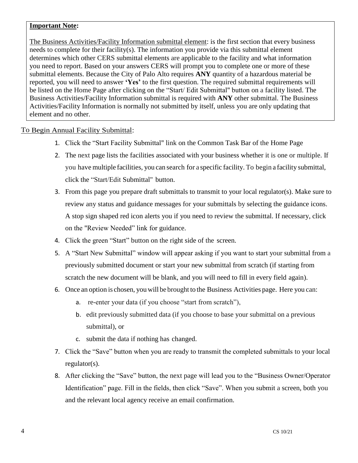#### **Important Note:**

The Business Activities/Facility Information submittal element: is the first section that every business needs to complete for their facility(s). The information you provide via this submittal element determines which other CERS submittal elements are applicable to the facility and what information you need to report. Based on your answers CERS will prompt you to complete one or more of these submittal elements. Because the City of Palo Alto requires **ANY** quantity of a hazardous material be reported, you will need to answer **'Yes'** to the first question. The required submittal requirements will be listed on the Home Page after clicking on the "Start/ Edit Submittal" button on a facility listed. The Business Activities/Facility Information submittal is required with **ANY** other submittal. The Business Activities/Facility Information is normally not submitted by itself, unless you are only updating that element and no other.

# To Begin Annual Facility Submittal:

- 1. Click the "Start Facility Submittal" link on the Common Task Bar of the Home Page
- 2. The next page lists the facilities associated with your business whether it is one or multiple. If you have multiple facilities, you can search for a specific facility. To begin a facility submittal, click the "Start/Edit Submittal" button.
- 3. From this page you prepare draft submittals to transmit to your local regulator(s). Make sure to review any status and guidance messages for your submittals by selecting the guidance icons. A stop sign shaped red icon alerts you if you need to review the submittal. If necessary, click on the "Review Needed" link for guidance.
- 4. Click the green "Start" button on the right side of the screen.
- 5. A "Start New Submittal" window will appear asking if you want to start your submittal from a previously submitted document or start your new submittal from scratch (if starting from scratch the new document will be blank, and you will need to fill in every field again).
- 6. Once an option is chosen, you will be brought to the Business Activities page. Here you can:
	- a. re-enter your data (if you choose "start from scratch"),
	- b. edit previously submitted data (if you choose to base your submittal on a previous submittal), or
	- c. submit the data if nothing has changed.
- 7. Click the "Save" button when you are ready to transmit the completed submittals to your local regulator(s).
- 8. After clicking the "Save" button, the next page will lead you to the "Business Owner/Operator Identification" page. Fill in the fields, then click "Save". When you submit a screen, both you and the relevant local agency receive an email confirmation.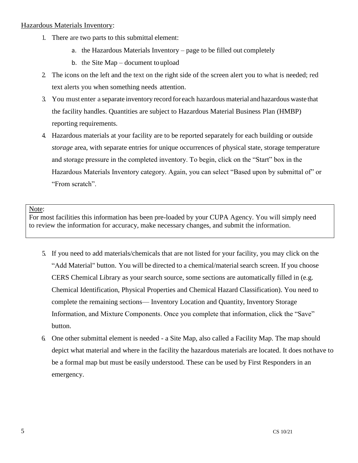#### Hazardous Materials Inventory:

- 1. There are two parts to this submittal element:
	- a. the Hazardous Materials Inventory page to be filled out completely
	- b. the Site Map document toupload
- 2. The icons on the left and the text on the right side of the screen alert you to what is needed; red text alerts you when something needs attention.
- 3. You must enter a separate inventory record for each hazardous material and hazardous waste that the facility handles. Quantities are subject to Hazardous Material Business Plan (HMBP) reporting requirements.
- 4. Hazardous materials at your facility are to be reported separately for each building or outside *storage* area, with separate entries for unique occurrences of physical state, storage temperature and storage pressure in the completed inventory. To begin, click on the "Start" box in the Hazardous Materials Inventory category. Again, you can select "Based upon by submittal of" or "From scratch".

#### Note:

For most facilities this information has been pre-loaded by your CUPA Agency. You will simply need to review the information for accuracy, make necessary changes, and submit the information.

- 5. If you need to add materials/chemicals that are not listed for your facility, you may click on the "Add Material" button. You will be directed to a chemical/material search screen. If you choose CERS Chemical Library as your search source, some sections are automatically filled in (e.g. Chemical Identification, Physical Properties and Chemical Hazard Classification). You need to complete the remaining sections— Inventory Location and Quantity, Inventory Storage Information, and Mixture Components. Once you complete that information, click the "Save" button.
- 6. One other submittal element is needed a Site Map, also called a Facility Map. The map should depict what material and where in the facility the hazardous materials are located. It does nothave to be a formal map but must be easily understood. These can be used by First Responders in an emergency.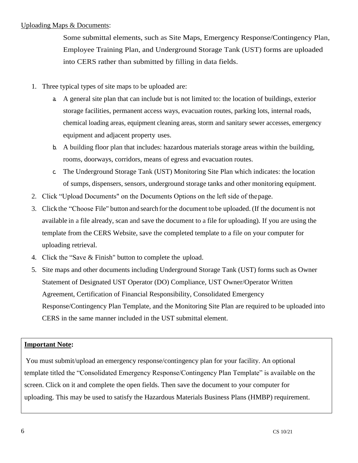#### Uploading Maps & Documents:

Some submittal elements, such as Site Maps, Emergency Response/Contingency Plan, Employee Training Plan, and Underground Storage Tank (UST) forms are uploaded into CERS rather than submitted by filling in data fields.

- 1. Three typical types of site maps to be uploaded are:
	- a. A general site plan that can include but is not limited to: the location of buildings, exterior storage facilities, permanent access ways, evacuation routes, parking lots, internal roads, chemical loading areas, equipment cleaning areas, storm and sanitary sewer accesses, emergency equipment and adjacent property uses.
	- b. A building floor plan that includes: hazardous materials storage areas within the building, rooms, doorways, corridors, means of egress and evacuation routes.
	- c. The Underground Storage Tank (UST) Monitoring Site Plan which indicates: the location of sumps, dispensers, sensors, underground storage tanks and other monitoring equipment.
- 2. Click "Upload Documents" on the Documents Options on the left side of thepage.
- 3. Click the "Choose File" button and search forthe document to be uploaded. (If the document is not available in a file already, scan and save the document to a file for uploading). If you are using the template from the CERS Website, save the completed template to a file on your computer for uploading retrieval.
- 4. Click the "Save & Finish" button to complete the upload.
- 5. Site maps and other documents including Underground Storage Tank (UST) forms such as Owner Statement of Designated UST Operator (DO) Compliance, UST Owner/Operator Written Agreement, Certification of Financial Responsibility, Consolidated Emergency Response/Contingency Plan Template, and the Monitoring Site Plan are required to be uploaded into CERS in the same manner included in the UST submittal element.

# **Important Note:**

You must submit/upload an emergency response/contingency plan for your facility. An optional template titled the "Consolidated Emergency Response/Contingency Plan Template" is available on the screen. Click on it and complete the open fields. Then save the document to your computer for uploading. This may be used to satisfy the Hazardous Materials Business Plans (HMBP) requirement.